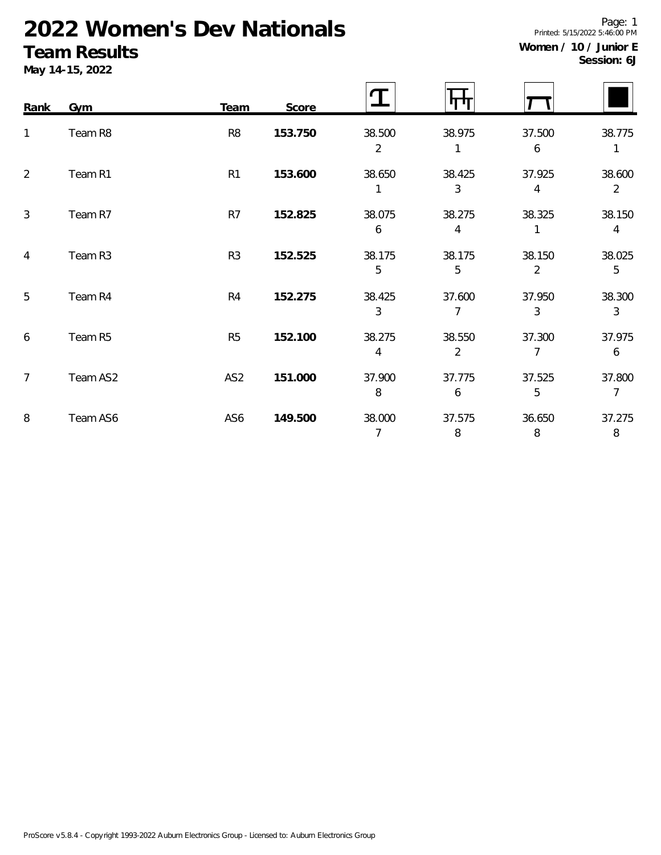# **2022 Women's Dev Nationals**

### **Team Results**

**May 14-15, 2022**

| Session: 6J |
|-------------|
|-------------|

| Rank           | Gym      | Team            | Score   |                          |                          |             |                          |
|----------------|----------|-----------------|---------|--------------------------|--------------------------|-------------|--------------------------|
| 1              | Team R8  | R <sub>8</sub>  | 153.750 | 38.500<br>$\overline{2}$ | 38.975                   | 37.500<br>6 | 38.775                   |
| $\overline{2}$ | Team R1  | R <sub>1</sub>  | 153.600 | 38.650                   | 38.425<br>3              | 37.925<br>4 | 38.600<br>$\overline{2}$ |
| 3              | Team R7  | R7              | 152.825 | 38.075<br>6              | 38.275<br>4              | 38.325      | 38.150<br>4              |
| $\overline{4}$ | Team R3  | R <sub>3</sub>  | 152.525 | 38.175<br>5              | 38.175<br>5              | 38.150<br>2 | 38.025<br>5              |
| 5              | Team R4  | R4              | 152.275 | 38.425<br>3              | 37.600<br>7              | 37.950<br>3 | 38.300<br>3              |
| 6              | Team R5  | R <sub>5</sub>  | 152.100 | 38.275<br>4              | 38.550<br>$\overline{2}$ | 37.300<br>7 | 37.975<br>6              |
| 7              | Team AS2 | AS <sub>2</sub> | 151.000 | 37.900<br>8              | 37.775<br>6              | 37.525<br>5 | 37.800<br>$\overline{7}$ |

8 Team AS6 AS6 **149.500** 38.000 37.575 36.650 37.275

Page: 1 Printed: 5/15/2022 5:46:00 PM **Women / 10 / Junior E**

7 8 8 8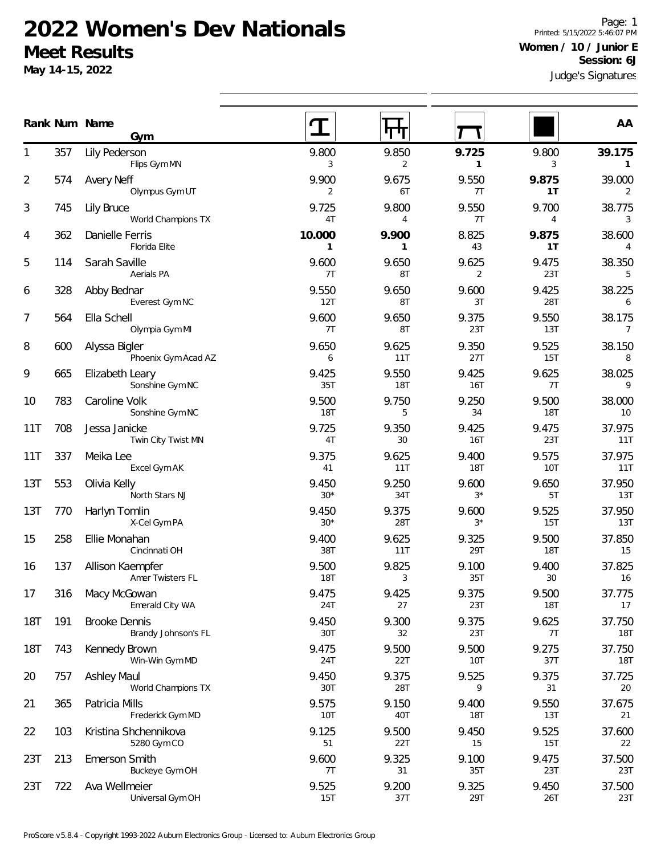#### **2022 Women's Dev Nationals Meet Results**

**Gym**

Flips Gym MN

**May 14-15, 2022**

722 Ava Wellmeier

Judge's Signatures Page: 1 Printed: 5/15/2022 5:46:07 PM **Women / 10 / Junior E Session: 6J**

3 2 **1** 3 **1** 

15T 37T 29T 26T 23T

| 2   | 574 | Avery Neff<br>Olympus Gym UT                | 9.900<br>2             | 9.675<br>6T           | 9.550<br>7T             | 9.875<br>1T         | 39.000<br>2          |
|-----|-----|---------------------------------------------|------------------------|-----------------------|-------------------------|---------------------|----------------------|
| 3   | 745 | Lily Bruce<br>World Champions TX            | 9.725<br>4T            | 9.800<br>4            | 9.550<br>7T             | 9.700<br>4          | 38.775<br>3          |
| 4   | 362 | Danielle Ferris<br>Florida Elite            | 10.000<br>$\mathbf{1}$ | 9.900<br>$\mathbf{1}$ | 8.825<br>43             | 9.875<br>1T         | 38.600<br>4          |
| 5   | 114 | Sarah Saville<br>Aerials PA                 | 9.600<br>7T            | 9.650<br>8T           | 9.625<br>$\overline{2}$ | 9.475<br>23T        | 38.350<br>5          |
| 6   | 328 | Abby Bednar<br>Everest Gym NC               | 9.550<br>12T           | 9.650<br>8T           | 9.600<br>3T             | 9.425<br>28T        | 38.225<br>6          |
| 7   | 564 | Ella Schell<br>Olympia Gym MI               | 9.600<br>7T            | 9.650<br>8T           | 9.375<br>23T            | 9.550<br>13T        | 38.175<br>7          |
| 8   | 600 | Alyssa Bigler<br>Phoenix Gym Acad AZ        | 9.650<br>6             | 9.625<br>11T          | 9.350<br>27T            | 9.525<br>15T        | 38.150<br>8          |
| 9   | 665 | Elizabeth Leary<br>Sonshine Gym NC          | 9.425<br>35T           | 9.550<br><b>18T</b>   | 9.425<br><b>16T</b>     | 9.625<br>7T         | 38.025<br>9          |
| 10  | 783 | Caroline Volk<br>Sonshine Gym NC            | 9.500<br><b>18T</b>    | 9.750<br>5            | 9.250<br>34             | 9.500<br>18T        | 38.000<br>10         |
| 11T | 708 | Jessa Janicke<br>Twin City Twist MN         | 9.725<br>4T            | 9.350<br>30           | 9.425<br><b>16T</b>     | 9.475<br>23T        | 37.975<br>11T        |
| 11T | 337 | Meika Lee<br>Excel Gym AK                   | 9.375<br>41            | 9.625<br>11T          | 9.400<br><b>18T</b>     | 9.575<br>10T        | 37.975<br>11T        |
| 13T | 553 | Olivia Kelly<br>North Stars NJ              | 9.450<br>$30*$         | 9.250<br>34T          | 9.600<br>$3*$           | 9.650<br>5T         | 37.950<br>13T        |
| 13T | 770 | Harlyn Tomlin<br>X-Cel Gym PA               | 9.450<br>$30*$         | 9.375<br>28T          | 9.600<br>$3*$           | 9.525<br>15T        | 37.950<br>13T        |
| 15  | 258 | Ellie Monahan<br>Cincinnati OH              | 9.400<br>38T           | 9.625<br>11T          | 9.325<br>29T            | 9.500<br><b>18T</b> | 37.850<br>15         |
| 16  | 137 | Allison Kaempfer<br>Amer Twisters FL        | 9.500<br><b>18T</b>    | 9.825<br>3            | 9.100<br>35T            | 9.400<br>30         | 37.825<br>16         |
| 17  | 316 | Macy McGowan<br>Emerald City WA             | 9.475<br>24T           | 9.425<br>27           | 9.375<br>23T            | 9.500<br><b>18T</b> | 37.775<br>17         |
| 18T | 191 | <b>Brooke Dennis</b><br>Brandy Johnson's FL | 9.450<br>30T           | 9.300<br>32           | 9.375<br>23T            | 9.625<br>7T         | 37.750<br><b>18T</b> |
| 18T | 743 | Kennedy Brown<br>Win-Win Gym MD             | 9.475<br>24T           | 9.500<br>22T          | 9.500<br>10T            | 9.275<br>37T        | 37.750<br><b>18T</b> |
| 20  | 757 | <b>Ashley Maul</b><br>World Champions TX    | 9.450<br>30T           | 9.375<br>28T          | 9.525<br>9              | 9.375<br>31         | 37.725<br>20         |
| 21  | 365 | Patricia Mills<br>Frederick Gym MD          | 9.575<br>10T           | 9.150<br>40T          | 9.400<br><b>18T</b>     | 9.550<br>13T        | 37.675<br>21         |
| 22  | 103 | Kristina Shchennikova<br>5280 Gym CO        | 9.125<br>51            | 9.500<br>22T          | 9.450<br>15             | 9.525<br>15T        | 37.600<br>22         |
| 23T | 213 | Emerson Smith<br>Buckeye Gym OH             | 9.600<br>7T            | 9.325<br>31           | 9.100<br>35T            | 9.475<br>23T        | 37.500<br>23T        |

23T 9.525 9.200 9.325 9.450 37.500

**Num Name Rank AA**

357 Lily Pederson 1 9.800 9.850 **9.725** 9.800 **39.175**

Universal Gym OH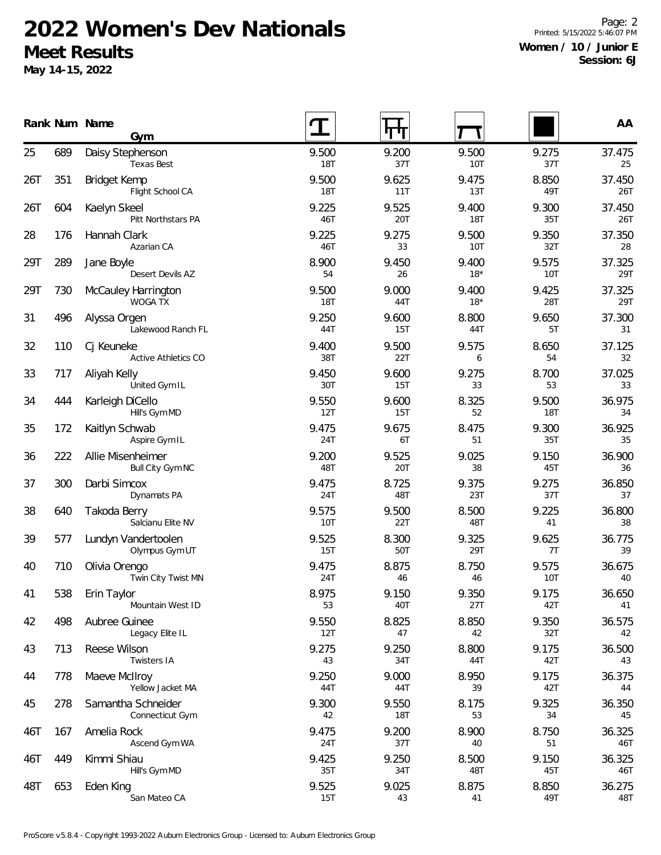## **2022 Women's Dev Nationals Meet Results**

**May 14-15, 2022**

Page: 2 Printed: 5/15/2022 5:46:07 PM **Women / 10 / Junior E Session: 6J**

|     |     | Rank Num Name<br>Gym                    |                     | पाण                 |                     |              | AA            |
|-----|-----|-----------------------------------------|---------------------|---------------------|---------------------|--------------|---------------|
| 25  | 689 | Daisy Stephenson<br><b>Texas Best</b>   | 9.500<br><b>18T</b> | 9.200<br>37T        | 9.500<br>10T        | 9.275<br>37T | 37.475<br>25  |
| 26T | 351 | <b>Bridget Kemp</b><br>Flight School CA | 9.500<br><b>18T</b> | 9.625<br>11T        | 9.475<br>13T        | 8.850<br>49T | 37.450<br>26T |
| 26T | 604 | Kaelyn Skeel<br>Pitt Northstars PA      | 9.225<br>46T        | 9.525<br>20T        | 9.400<br><b>18T</b> | 9.300<br>35T | 37.450<br>26T |
| 28  | 176 | Hannah Clark<br>Azarian CA              | 9.225<br>46T        | 9.275<br>33         | 9.500<br>10T        | 9.350<br>32T | 37.350<br>28  |
| 29T | 289 | Jane Boyle<br>Desert Devils AZ          | 8.900<br>54         | 9.450<br>26         | 9.400<br>$18*$      | 9.575<br>10T | 37.325<br>29T |
| 29T | 730 | <b>McCauley Harrington</b><br>WOGA TX   | 9.500<br><b>18T</b> | 9.000<br>44T        | 9.400<br>$18*$      | 9.425<br>28T | 37.325<br>29T |
| 31  | 496 | Alyssa Orgen<br>Lakewood Ranch FL       | 9.250<br>44T        | 9.600<br>15T        | 8.800<br>44T        | 9.650<br>5T  | 37.300<br>31  |
| 32  | 110 | Cj Keuneke<br>Active Athletics CO       | 9.400<br>38T        | 9.500<br>22T        | 9.575<br>6          | 8.650<br>54  | 37.125<br>32  |
| 33  | 717 | Aliyah Kelly<br>United Gym IL           | 9.450<br>30T        | 9.600<br>15T        | 9.275<br>33         | 8.700<br>53  | 37.025<br>33  |
| 34  | 444 | Karleigh DiCello<br>Hill's Gym MD       | 9.550<br>12T        | 9.600<br>15T        | 8.325<br>52         | 9.500<br>18T | 36.975<br>34  |
| 35  | 172 | Kaitlyn Schwab<br>Aspire Gym IL         | 9.475<br>24T        | 9.675<br>6T         | 8.475<br>51         | 9.300<br>35T | 36.925<br>35  |
| 36  | 222 | Allie Misenheimer<br>Bull City Gym NC   | 9.200<br>48T        | 9.525<br>20T        | 9.025<br>38         | 9.150<br>45T | 36.900<br>36  |
| 37  | 300 | Darbi Simcox<br>Dynamats PA             | 9.475<br>24T        | 8.725<br>48T        | 9.375<br>23T        | 9.275<br>37T | 36.850<br>37  |
| 38  | 640 | Takoda Berry<br>Salcianu Elite NV       | 9.575<br>10T        | 9.500<br>22T        | 8.500<br>48T        | 9.225<br>41  | 36.800<br>38  |
| 39  | 577 | Lundyn Vandertoolen<br>Olympus Gym UT   | 9.525<br>15T        | 8.300<br>50T        | 9.325<br>29T        | 9.625<br>7T  | 36.775<br>39  |
| 40  | 710 | Olivia Orengo<br>Twin City Twist MN     | 9.475<br>24T        | 8.875<br>46         | 8.750<br>46         | 9.575<br>10T | 36.675<br>40  |
| 41  | 538 | Erin Taylor<br>Mountain West ID         | 8.975<br>53         | 9.150<br>40T        | 9.350<br>27T        | 9.175<br>42T | 36.650<br>41  |
| 42  | 498 | Aubree Guinee<br>Legacy Elite IL        | 9.550<br>12T        | 8.825<br>47         | 8.850<br>42         | 9.350<br>32T | 36.575<br>42  |
| 43  | 713 | Reese Wilson<br>Twisters IA             | 9.275<br>43         | 9.250<br>34T        | 8.800<br>44T        | 9.175<br>42T | 36.500<br>43  |
| 44  | 778 | Maeve McIlroy<br>Yellow Jacket MA       | 9.250<br>44T        | 9.000<br>44T        | 8.950<br>39         | 9.175<br>42T | 36.375<br>44  |
| 45  | 278 | Samantha Schneider<br>Connecticut Gym   | 9.300<br>42         | 9.550<br><b>18T</b> | 8.175<br>53         | 9.325<br>34  | 36.350<br>45  |
| 46T | 167 | Amelia Rock<br>Ascend Gym WA            | 9.475<br>24T        | 9.200<br>37T        | 8.900<br>40         | 8.750<br>51  | 36.325<br>46T |
| 46T | 449 | Kimmi Shiau<br>Hill's Gym MD            | 9.425<br>35T        | 9.250<br>34T        | 8.500<br>48T        | 9.150<br>45T | 36.325<br>46T |
| 48T | 653 | Eden King<br>San Mateo CA               | 9.525<br>15T        | 9.025<br>43         | 8.875<br>41         | 8.850<br>49T | 36.275<br>48T |